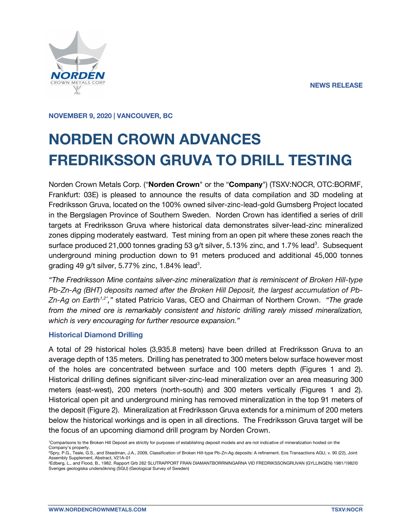

**NOVEMBER 9, 2020 | VANCOUVER, BC**

# **NORDEN CROWN ADVANCES FREDRIKSSON GRUVA TO DRILL TESTING**

Norden Crown Metals Corp. ("**Norden Crown**" or the "**Company**") (TSXV:NOCR, OTC:BORMF, Frankfurt: 03E) is pleased to announce the results of data compilation and 3D modeling at Fredriksson Gruva, located on the 100% owned silver-zinc-lead-gold Gumsberg Project located in the Bergslagen Province of Southern Sweden. Norden Crown has identified a series of drill targets at Fredriksson Gruva where historical data demonstrates silver-lead-zinc mineralized zones dipping moderately eastward. Test mining from an open pit where these zones reach the surface produced 21,000 tonnes grading 53 g/t silver, 5.13% zinc, and 1.7% lead<sup>3</sup>. Subsequent underground mining production down to 91 meters produced and additional 45,000 tonnes grading 49 g/t silver, 5.77% zinc, 1.84% lead<sup>3</sup>.

*"The Fredriksson Mine contains silver-zinc mineralization that is reminiscent of Broken Hill-type Pb-Zn-Ag (BHT) deposits named after the Broken Hill Deposit, the largest accumulation of Pb-Zn-Ag on Earth1,2" ,"* stated Patricio Varas, CEO and Chairman of Northern Crown. *"The grade from the mined ore is remarkably consistent and historic drilling rarely missed mineralization, which is very encouraging for further resource expansion."*

#### **Historical Diamond Drilling**

A total of 29 historical holes (3,935.8 meters) have been drilled at Fredriksson Gruva to an average depth of 135 meters. Drilling has penetrated to 300 meters below surface however most of the holes are concentrated between surface and 100 meters depth (Figures 1 and 2). Historical drilling defines significant silver-zinc-lead mineralization over an area measuring 300 meters (east-west), 200 meters (north-south) and 300 meters vertically (Figures 1 and 2). Historical open pit and underground mining has removed mineralization in the top 91 meters of the deposit (Figure 2). Mineralization at Fredriksson Gruva extends for a minimum of 200 meters below the historical workings and is open in all directions. The Fredriksson Gruva target will be the focus of an upcoming diamond drill program by Norden Crown.

<sup>1</sup>Comparisons to the Broken Hill Deposit are strictly for purposes of establishing deposit models and are not indicative of mineralization hosted on the Company's property.

<sup>2</sup>Spry, P.G., Teale, G.S., and Steadman, J.A., 2009, Classification of Broken Hill-type Pb-Zn-Ag deposits: A refinement. Eos Transactions AGU, v. 90 (22), Joint Assembly Supplement, Abstract, V21A-01

<sup>3</sup>Edberg, L., and Flood, B., 1982. Rapport Grb 262 SLUTRAPPORT FRAN DIAMANTBORRNINGARNA VID FREDRIKSSONGRUVAN (GYLLINGEN) 1981/1982© Sveriges geologiska undersökning (SGU) (Geological Survey of Sweden)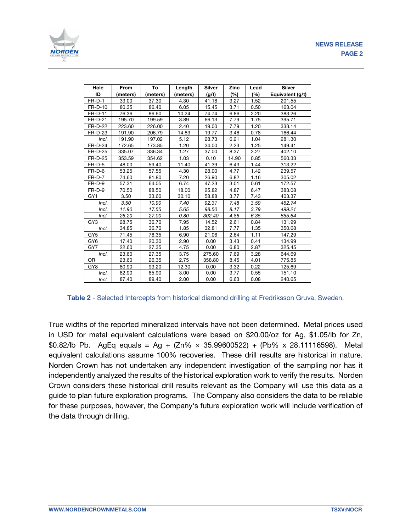

| Hole            | From    | To       | Length   | <b>Silver</b> | Zinc  | Lead | <b>Silver</b>    |
|-----------------|---------|----------|----------|---------------|-------|------|------------------|
| ID              | meters) | (meters) | (meters) | (g/t)         | (%)   | (%)  | Equivalent (g/t) |
| $FR-D-1$        | 33.00   | 37.30    | 4.30     | 41.18         | 3.27  | 1.52 | 201.55           |
| FR-D-10         | 80.35   | 86.40    | 6.05     | 15.45         | 3.71  | 0.50 | 163.04           |
| <b>FR-D-11</b>  | 76.36   | 86.60    | 10.24    | 74.74         | 6.86  | 2.20 | 383.26           |
| <b>FR-D-21</b>  | 195.70  | 199.59   | 3.89     | 66.13         | 7.79  | 1.75 | 395.71           |
| <b>FR-D-22</b>  | 223.60  | 226.00   | 2.40     | 19.00         | 7.79  | 1.20 | 333.14           |
| FR-D-23         | 191.90  | 206.79   | 14.89    | 19.77         | 3.46  | 0.78 | 166.44           |
| Incl.           | 191.90  | 197.02   | 5.12     | 28.73         | 6.21  | 1.04 | 281.30           |
| FR-D-24         | 172.65  | 173.85   | 1.20     | 34.00         | 2.23  | 1.25 | 149.41           |
| FR-D-25         | 335.07  | 336.34   | 1.27     | 37.00         | 8.37  | 2.27 | 402.10           |
| <b>FR-D-25</b>  | 353.59  | 354.62   | 1.03     | 0.10          | 14.90 | 0.85 | 560.33           |
| $FR-D-5$        | 48.00   | 59.40    | 11.40    | 41.39         | 6.43  | 1.44 | 313.22           |
| $FR-D-6$        | 53.25   | 57.55    | 4.30     | 28.00         | 4.77  | 1.42 | 239.57           |
| $FR-D-7$        | 74.60   | 81.80    | 7.20     | 26.90         | 6.82  | 1.16 | 305.02           |
| FR-D-9          | 57.31   | 64.05    | 6.74     | 47.23         | 3.01  | 0.61 | 172.57           |
| $FR-D-9$        | 70.50   | 88.50    | 18.00    | 25.82         | 4.87  | 6.47 | 383.08           |
| GY <sub>1</sub> | 3.50    | 33.60    | 30.10    | 58.88         | 3.77  | 7.43 | 403.37           |
| Incl.           | 3.50    | 10.90    | 7.40     | 92.31         | 7.48  | 3.59 | 462.74           |
| Incl.           | 11.90   | 17.55    | 5.65     | 98.50         | 8.17  | 3.79 | 499.21           |
| Incl.           | 26.20   | 27.00    | 0.80     | 302.40        | 4.86  | 6.35 | 655.64           |
| GY <sub>3</sub> | 28.75   | 36.70    | 7.95     | 14.52         | 2.61  | 0.84 | 131.99           |
| Incl.           | 34.85   | 36.70    | 1.85     | 32.81         | 7.77  | 1.35 | 350.68           |
| GY <sub>5</sub> | 71.45   | 78.35    | 6.90     | 21.06         | 2.64  | 1.11 | 147.29           |
| GY <sub>6</sub> | 17.40   | 20.30    | 2.90     | 0.00          | 3.43  | 0.41 | 134.99           |
| GY7             | 22.60   | 27.35    | 4.75     | 0.00          | 6.80  | 2.87 | 325.45           |
| Incl.           | 23.60   | 27.35    | 3.75     | 275.60        | 7.69  | 3.28 | 644.69           |
| <b>OR</b>       | 23.60   | 26.35    | 2.75     | 358.80        | 8.45  | 4.01 | 775.85           |
| GY8             | 80.90   | 93.20    | 12.30    | 0.00          | 3.32  | 0.22 | 125.69           |
| Incl.           | 82.90   | 85.90    | 3.00     | 0.00          | 3.77  | 0.55 | 151.10           |
| Incl.           | 87.40   | 89.40    | 2.00     | 0.00          | 6.63  | 0.08 | 240.65           |

#### **Table 2** - Selected Intercepts from historical diamond drilling at Fredriksson Gruva, Sweden.

True widths of the reported mineralized intervals have not been determined. Metal prices used in USD for metal equivalent calculations were based on \$20.00/oz for Ag, \$1.05/lb for Zn, \$0.82/lb Pb. AgEq equals = Ag +  $(Zn% \times 35.99600522)$  +  $(Pb% \times 28.11116598)$ . Metal equivalent calculations assume 100% recoveries. These drill results are historical in nature. Norden Crown has not undertaken any independent investigation of the sampling nor has it independently analyzed the results of the historical exploration work to verify the results. Norden Crown considers these historical drill results relevant as the Company will use this data as a guide to plan future exploration programs. The Company also considers the data to be reliable for these purposes, however, the Company's future exploration work will include verification of the data through drilling.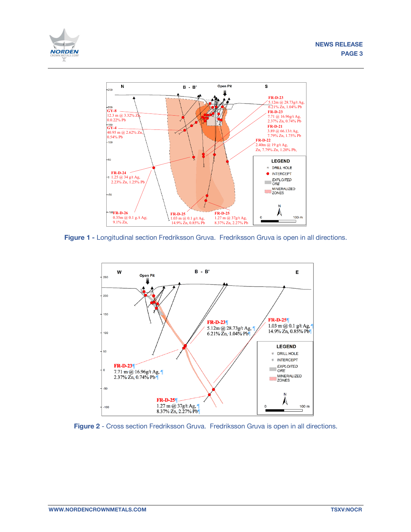



**Figure 1 -** Longitudinal section Fredriksson Gruva. Fredriksson Gruva is open in all directions.



**Figure 2** - Cross section Fredriksson Gruva. Fredriksson Gruva is open in all directions.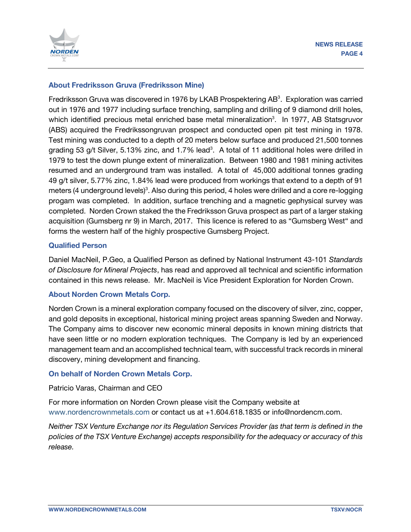

## **About Fredriksson Gruva (Fredriksson Mine)**

Fredriksson Gruva was discovered in 1976 by LKAB Prospektering AB<sup>3</sup>. Exploration was carried out in 1976 and 1977 including surface trenching, sampling and drilling of 9 diamond drill holes, which identified precious metal enriched base metal mineralization<sup>3</sup>. In 1977, AB Statsgruvor (ABS) acquired the Fredrikssongruvan prospect and conducted open pit test mining in 1978. Test mining was conducted to a depth of 20 meters below surface and produced 21,500 tonnes grading 53 g/t Silver, 5.13% zinc, and 1.7% lead<sup>3</sup>. A total of 11 additional holes were drilled in 1979 to test the down plunge extent of mineralization. Between 1980 and 1981 mining activites resumed and an underground tram was installed. A total of 45,000 additional tonnes grading 49 g/t silver, 5.77% zinc, 1.84% lead were produced from workings that extend to a depth of 91 meters (4 underground levels)<sup>3</sup>. Also during this period, 4 holes were drilled and a core re-logging progam was completed. In addition, surface trenching and a magnetic gephysical survey was completed. Norden Crown staked the the Fredriksson Gruva prospect as part of a larger staking acquisition (Gumsberg nr 9) in March, 2017. This licence is refered to as "Gumsberg West" and forms the western half of the highly prospective Gumsberg Project.

## **Qualified Person**

Daniel MacNeil, P.Geo, a Qualified Person as defined by National Instrument 43-101 *Standards of Disclosure for Mineral Projects*, has read and approved all technical and scientific information contained in this news release. Mr. MacNeil is Vice President Exploration for Norden Crown.

## **About Norden Crown Metals Corp.**

Norden Crown is a mineral exploration company focused on the discovery of silver, zinc, copper, and gold deposits in exceptional, historical mining project areas spanning Sweden and Norway. The Company aims to discover new economic mineral deposits in known mining districts that have seen little or no modern exploration techniques. The Company is led by an experienced management team and an accomplished technical team, with successful track records in mineral discovery, mining development and financing.

## **On behalf of Norden Crown Metals Corp.**

#### Patricio Varas, Chairman and CEO

For more information on Norden Crown please visit the Company website at www.nordencrownmetals.com or contact us at +1.604.618.1835 or info@nordencm.com.

*Neither TSX Venture Exchange nor its Regulation Services Provider (as that term is defined in the policies of the TSX Venture Exchange) accepts responsibility for the adequacy or accuracy of this release.*